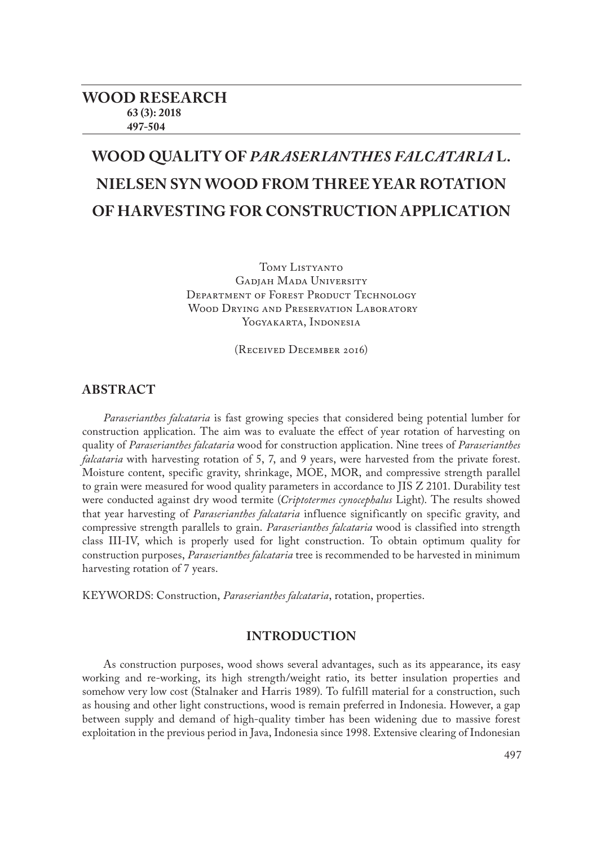# **WOOD QUALITY OF** *PARASERIANTHES FALCATARIA* **L. NIELSEN SYN WOOD FROM THREE YEAR ROTATION OF HARVESTING FOR CONSTRUCTION APPLICATION**

TOMY LISTYANTO GADIAH MADA UNIVERSITY DEPARTMENT OF FOREST PRODUCT TECHNOLOGY WOOD DRYING AND PRESERVATION LABORATORY YOGYAKARTA, INDONESIA

(Received December 2016)

## **ABSTRACT**

*Paraserianthes falcataria* is fast growing species that considered being potential lumber for construction application. The aim was to evaluate the effect of year rotation of harvesting on quality of *Paraserianthes falcataria* wood for construction application. Nine trees of *Paraserianthes falcataria* with harvesting rotation of 5, 7, and 9 years, were harvested from the private forest. Moisture content, specific gravity, shrinkage, MOE, MOR, and compressive strength parallel to grain were measured for wood quality parameters in accordance to JIS Z 2101. Durability test were conducted against dry wood termite (*Criptotermes cynocephalus* Light). The results showed that year harvesting of *Paraserianthes falcataria* influence significantly on specific gravity, and compressive strength parallels to grain. *Paraserianthes falcataria* wood is classified into strength class III-IV, which is properly used for light construction. To obtain optimum quality for construction purposes, *Paraserianthes falcataria* tree is recommended to be harvested in minimum harvesting rotation of 7 years.

KEYWORDS: Construction, *Paraserianthes falcataria*, rotation, properties.

## **INTRODUCTION**

As construction purposes, wood shows several advantages, such as its appearance, its easy working and re-working, its high strength/weight ratio, its better insulation properties and somehow very low cost (Stalnaker and Harris 1989). To fulfill material for a construction, such as housing and other light constructions, wood is remain preferred in Indonesia. However, a gap between supply and demand of high-quality timber has been widening due to massive forest exploitation in the previous period in Java, Indonesia since 1998. Extensive clearing of Indonesian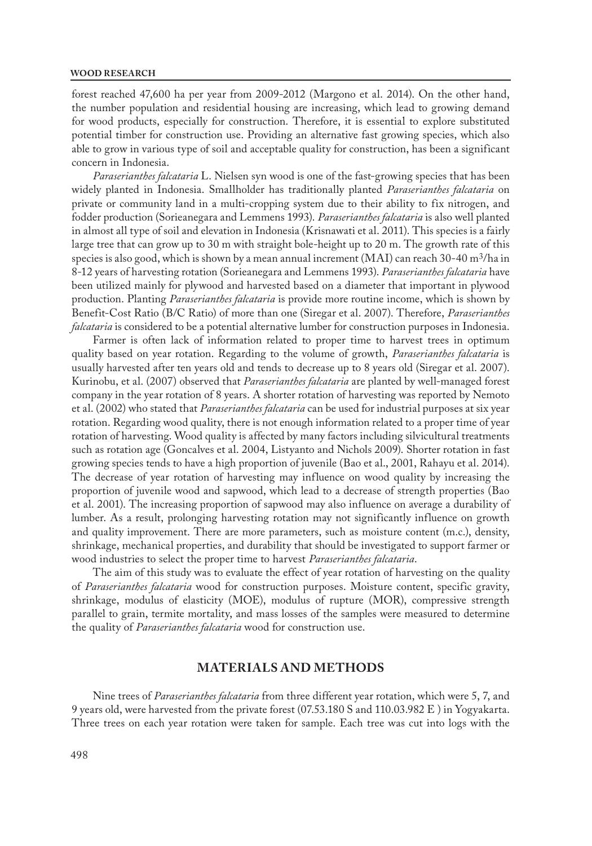#### **WOOD RESEARCH**

forest reached 47,600 ha per year from 2009-2012 (Margono et al. 2014). On the other hand, the number population and residential housing are increasing, which lead to growing demand for wood products, especially for construction. Therefore, it is essential to explore substituted potential timber for construction use. Providing an alternative fast growing species, which also able to grow in various type of soil and acceptable quality for construction, has been a significant concern in Indonesia.

*Paraserianthes falcataria* L. Nielsen syn wood is one of the fast-growing species that has been widely planted in Indonesia. Smallholder has traditionally planted *Paraserianthes falcataria* on private or community land in a multi-cropping system due to their ability to fix nitrogen, and fodder production (Sorieanegara and Lemmens 1993). *Paraserianthes falcataria* is also well planted in almost all type of soil and elevation in Indonesia (Krisnawati et al. 2011). This species is a fairly large tree that can grow up to 30 m with straight bole-height up to 20 m. The growth rate of this species is also good, which is shown by a mean annual increment (MAI) can reach  $30-40$  m<sup>3</sup>/ha in 8-12 years of harvesting rotation (Sorieanegara and Lemmens 1993). *Paraserianthes falcataria* have been utilized mainly for plywood and harvested based on a diameter that important in plywood production. Planting *Paraserianthes falcataria* is provide more routine income, which is shown by Benefit-Cost Ratio (B/C Ratio) of more than one (Siregar et al. 2007). Therefore, *Paraserianthes falcataria* is considered to be a potential alternative lumber for construction purposes in Indonesia.

Farmer is often lack of information related to proper time to harvest trees in optimum quality based on year rotation. Regarding to the volume of growth, *Paraserianthes falcataria* is usually harvested after ten years old and tends to decrease up to 8 years old (Siregar et al. 2007). Kurinobu, et al. (2007) observed that *Paraserianthes falcataria* are planted by well-managed forest company in the year rotation of 8 years. A shorter rotation of harvesting was reported by Nemoto et al. (2002) who stated that *Paraserianthes falcataria* can be used for industrial purposes at six year rotation. Regarding wood quality, there is not enough information related to a proper time of year rotation of harvesting. Wood quality is affected by many factors including silvicultural treatments such as rotation age (Goncalves et al. 2004, Listyanto and Nichols 2009). Shorter rotation in fast growing species tends to have a high proportion of juvenile (Bao et al., 2001, Rahayu et al. 2014). The decrease of year rotation of harvesting may influence on wood quality by increasing the proportion of juvenile wood and sapwood, which lead to a decrease of strength properties (Bao et al. 2001). The increasing proportion of sapwood may also influence on average a durability of lumber. As a result, prolonging harvesting rotation may not significantly influence on growth and quality improvement. There are more parameters, such as moisture content (m.c.), density, shrinkage, mechanical properties, and durability that should be investigated to support farmer or wood industries to select the proper time to harvest *Paraserianthes falcataria*.

The aim of this study was to evaluate the effect of year rotation of harvesting on the quality of *Paraserianthes falcataria* wood for construction purposes. Moisture content, specific gravity, shrinkage, modulus of elasticity (MOE), modulus of rupture (MOR), compressive strength parallel to grain, termite mortality, and mass losses of the samples were measured to determine the quality of *Paraserianthes falcataria* wood for construction use.

## **MATERIALS AND METHODS**

Nine trees of *Paraserianthes falcataria* from three different year rotation, which were 5, 7, and 9 years old, were harvested from the private forest (07.53.180 S and 110.03.982 E ) in Yogyakarta. Three trees on each year rotation were taken for sample. Each tree was cut into logs with the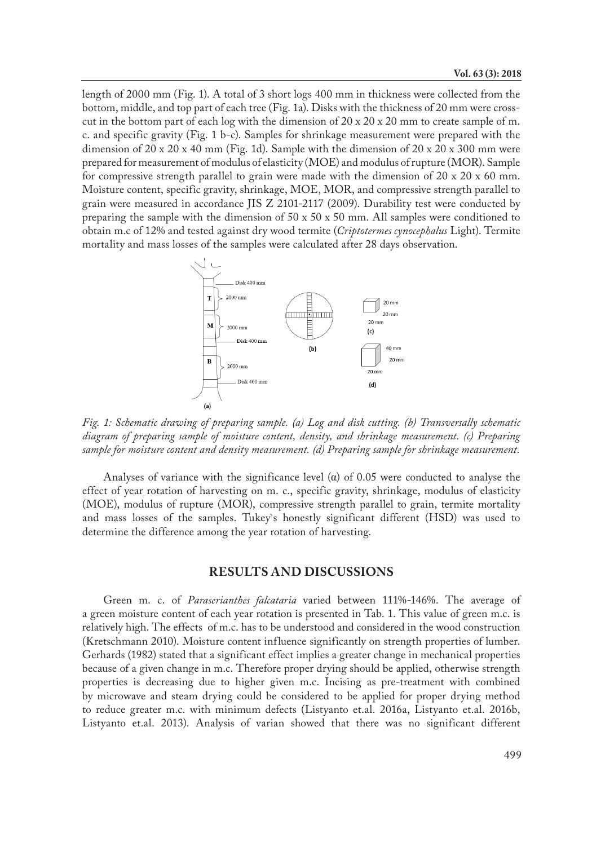length of 2000 mm (Fig. 1). A total of 3 short logs 400 mm in thickness were collected from the bottom, middle, and top part of each tree (Fig. 1a). Disks with the thickness of 20 mm were crosscut in the bottom part of each log with the dimension of  $20 \times 20 \times 20$  mm to create sample of m. c. and specific gravity (Fig. 1 b-c). Samples for shrinkage measurement were prepared with the dimension of  $20 \times 20 \times 40$  mm (Fig. 1d). Sample with the dimension of  $20 \times 20 \times 300$  mm were prepared for measurement of modulus of elasticity (MOE) and modulus of rupture (MOR). Sample for compressive strength parallel to grain were made with the dimension of 20 x 20 x 60 mm. Moisture content, specific gravity, shrinkage, MOE, MOR, and compressive strength parallel to grain were measured in accordance JIS Z 2101-2117 (2009). Durability test were conducted by preparing the sample with the dimension of  $50 \times 50 \times 50$  mm. All samples were conditioned to obtain m.c of 12% and tested against dry wood termite (*Criptotermes cynocephalus* Light). Termite mortality and mass losses of the samples were calculated after 28 days observation.



*Fig. 1: Schematic drawing of preparing sample. (a) Log and disk cutting. (b) Transversally schematic diagram of preparing sample of moisture content, density, and shrinkage measurement. (c) Preparing sample for moisture content and density measurement. (d) Preparing sample for shrinkage measurement.*

Analyses of variance with the significance level  $\alpha$  of 0.05 were conducted to analyse the effect of year rotation of harvesting on m. c., specific gravity, shrinkage, modulus of elasticity (MOE), modulus of rupture (MOR), compressive strength parallel to grain, termite mortality and mass losses of the samples. Tukey`s honestly significant different (HSD) was used to determine the difference among the year rotation of harvesting.

### **RESULTS AND DISCUSSIONS**

Green m. c. of *Paraserianthes falcataria* varied between 111%-146%. The average of a green moisture content of each year rotation is presented in Tab. 1. This value of green m.c. is relatively high. The effects of m.c. has to be understood and considered in the wood construction (Kretschmann 2010). Moisture content influence significantly on strength properties of lumber. Gerhards (1982) stated that a significant effect implies a greater change in mechanical properties because of a given change in m.c. Therefore proper drying should be applied, otherwise strength properties is decreasing due to higher given m.c. Incising as pre-treatment with combined by microwave and steam drying could be considered to be applied for proper drying method to reduce greater m.c. with minimum defects (Listyanto et.al. 2016a, Listyanto et.al. 2016b, Listyanto et.al. 2013). Analysis of varian showed that there was no significant different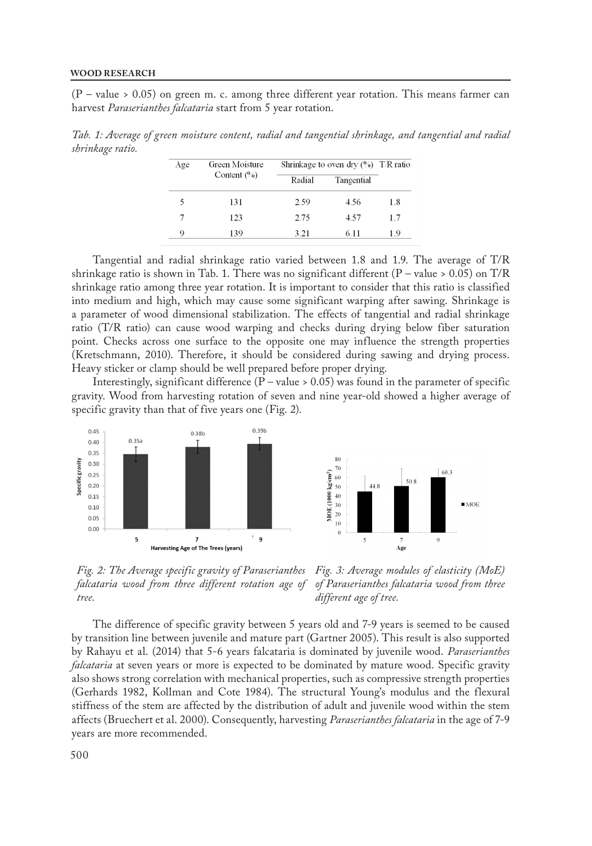(P – value > 0.05) on green m. c. among three different year rotation. This means farmer can harvest *Paraserianthes falcataria* start from 5 year rotation.

*Tab. 1: Average of green moisture content, radial and tangential shrinkage, and tangential and radial shrinkage ratio.*

| Age | Green Moisture<br>Content $(%)$ | Shrinkage to oven dry $(\%)$ T/R ratio |            |     |
|-----|---------------------------------|----------------------------------------|------------|-----|
|     |                                 | Radial                                 | Tangential |     |
|     | 131                             | 2.59                                   | 4.56       | 1.8 |
| 7   | 123                             | 2.75                                   | 4.57       | 1.7 |
| 9   | 139                             | 3.21                                   | 6.11       | 1.9 |

Tangential and radial shrinkage ratio varied between 1.8 and 1.9. The average of T/R shrinkage ratio is shown in Tab. 1. There was no significant different  $(P - value > 0.05)$  on T/R shrinkage ratio among three year rotation. It is important to consider that this ratio is classified into medium and high, which may cause some significant warping after sawing. Shrinkage is a parameter of wood dimensional stabilization. The effects of tangential and radial shrinkage ratio (T/R ratio) can cause wood warping and checks during drying below fiber saturation point. Checks across one surface to the opposite one may influence the strength properties (Kretschmann, 2010). Therefore, it should be considered during sawing and drying process. Heavy sticker or clamp should be well prepared before proper drying.

Interestingly, significant difference  $(P - value > 0.05)$  was found in the parameter of specific gravity. Wood from harvesting rotation of seven and nine year-old showed a higher average of specific gravity than that of five years one (Fig. 2).



*Fig. 2: The Average specific gravity of Paraserianthes Fig. 3: Average modules of elasticity (MoE) falcataria wood from three different rotation age of tree. of Paraserianthes falcataria wood from three different age of tree.*

The difference of specific gravity between 5 years old and 7-9 years is seemed to be caused by transition line between juvenile and mature part (Gartner 2005). This result is also supported by Rahayu et al. (2014) that 5-6 years falcataria is dominated by juvenile wood. *Paraserianthes falcataria* at seven years or more is expected to be dominated by mature wood. Specific gravity also shows strong correlation with mechanical properties, such as compressive strength properties (Gerhards 1982, Kollman and Cote 1984). The structural Young's modulus and the flexural stiffness of the stem are affected by the distribution of adult and juvenile wood within the stem affects (Bruechert et al. 2000). Consequently, harvesting *Paraserianthes falcataria* in the age of 7-9 years are more recommended.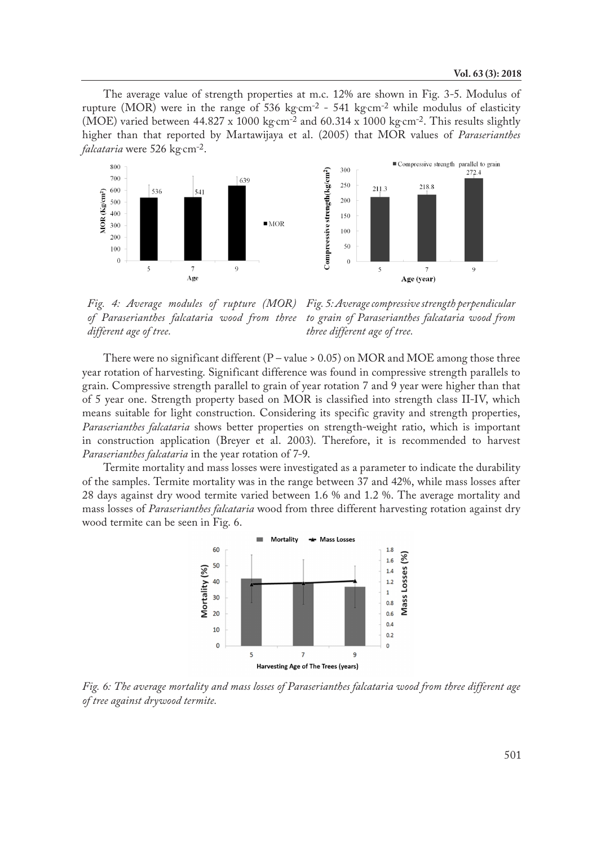The average value of strength properties at m.c. 12% are shown in Fig. 3-5. Modulus of rupture (MOR) were in the range of 536 kg·cm<sup>-2</sup> - 541 kg·cm<sup>-2</sup> while modulus of elasticity (MOE) varied between  $44.827 \times 1000 \text{ kg} \cdot \text{cm}^{-2}$  and  $60.314 \times 1000 \text{ kg} \cdot \text{cm}^{-2}$ . This results slightly higher than that reported by Martawijaya et al. (2005) that MOR values of *Paraserianthes falcataria* were 526 kg. cm-2.



*Fig. 4: Average modules of rupture (MOR) of Paraserianthes falcataria wood from three different age of tree. Fig. 5: Average compressive strength perpendicular to grain of Paraserianthes falcataria wood from three different age of tree.*

There were no significant different ( $P$  – value > 0.05) on MOR and MOE among those three year rotation of harvesting. Significant difference was found in compressive strength parallels to grain. Compressive strength parallel to grain of year rotation 7 and 9 year were higher than that of 5 year one. Strength property based on MOR is classified into strength class II-IV, which means suitable for light construction. Considering its specific gravity and strength properties, *Paraserianthes falcataria* shows better properties on strength-weight ratio, which is important in construction application (Breyer et al. 2003). Therefore, it is recommended to harvest *Paraserianthes falcataria* in the year rotation of 7-9.

Termite mortality and mass losses were investigated as a parameter to indicate the durability of the samples. Termite mortality was in the range between 37 and 42%, while mass losses after 28 days against dry wood termite varied between 1.6 % and 1.2 %. The average mortality and mass losses of *Paraserianthes falcataria* wood from three different harvesting rotation against dry wood termite can be seen in Fig. 6.



*Fig. 6: The average mortality and mass losses of Paraserianthes falcataria wood from three different age of tree against drywood termite.*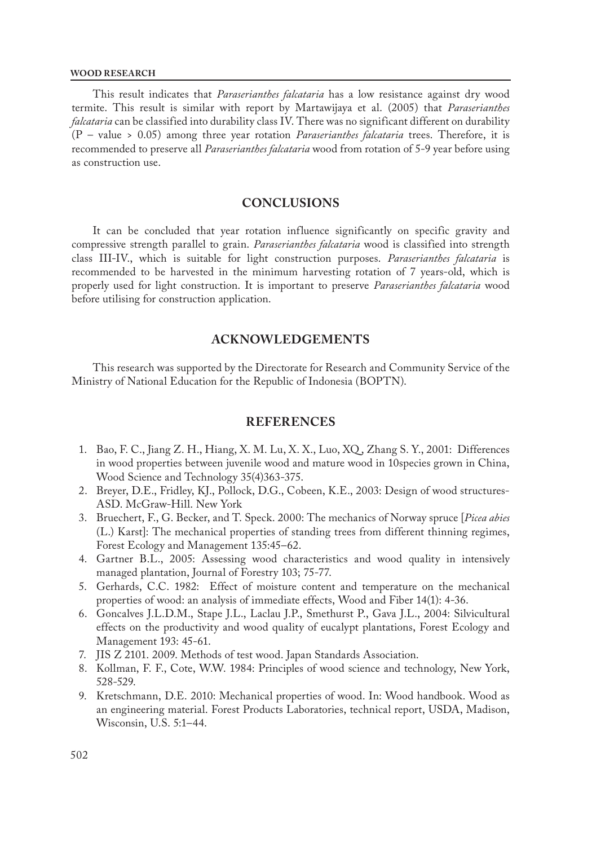#### **WOOD RESEARCH**

This result indicates that *Paraserianthes falcataria* has a low resistance against dry wood termite. This result is similar with report by Martawijaya et al. (2005) that *Paraserianthes falcataria* can be classified into durability class IV. There was no significant different on durability (P – value > 0.05) among three year rotation *Paraserianthes falcataria* trees. Therefore, it is recommended to preserve all *Paraserianthes falcataria* wood from rotation of 5-9 year before using as construction use.

## **CONCLUSIONS**

It can be concluded that year rotation influence significantly on specific gravity and compressive strength parallel to grain. *Paraserianthes falcataria* wood is classified into strength class III-IV., which is suitable for light construction purposes. *Paraserianthes falcataria* is recommended to be harvested in the minimum harvesting rotation of 7 years-old, which is properly used for light construction. It is important to preserve *Paraserianthes falcataria* wood before utilising for construction application.

# **ACKNOWLEDGEMENTS**

This research was supported by the Directorate for Research and Community Service of the Ministry of National Education for the Republic of Indonesia (BOPTN).

## **REFERENCES**

- 1. Bao, F. C., Jiang Z. H., Hiang, X. M. Lu, X. X., Luo, XQ , Zhang S. Y., 2001: Differences in wood properties between juvenile wood and mature wood in 10species grown in China, Wood Science and Technology 35(4)363-375.
- 2. Breyer, D.E., Fridley, KJ., Pollock, D.G., Cobeen, K.E., 2003: Design of wood structures-ASD. McGraw-Hill. New York
- 3. Bruechert, F., G. Becker, and T. Speck. 2000: The mechanics of Norway spruce [*Picea abies*  (L.) Karst]: The mechanical properties of standing trees from different thinning regimes, Forest Ecology and Management 135:45–62.
- 4. Gartner B.L., 2005: Assessing wood characteristics and wood quality in intensively managed plantation, Journal of Forestry 103; 75-77.
- 5. Gerhards, C.C. 1982: Effect of moisture content and temperature on the mechanical properties of wood: an analysis of immediate effects, Wood and Fiber 14(1): 4-36.
- 6. Goncalves J.L.D.M., Stape J.L., Laclau J.P., Smethurst P., Gava J.L., 2004: Silvicultural effects on the productivity and wood quality of eucalypt plantations, Forest Ecology and Management 193: 45-61.
- 7. JIS Z 2101. 2009. Methods of test wood. Japan Standards Association.
- 8. Kollman, F. F., Cote, W.W. 1984: Principles of wood science and technology, New York, 528-529.
- 9. Kretschmann, D.E. 2010: Mechanical properties of wood. In: Wood handbook. Wood as an engineering material. Forest Products Laboratories, technical report, USDA, Madison, Wisconsin, U.S. 5:1–44.